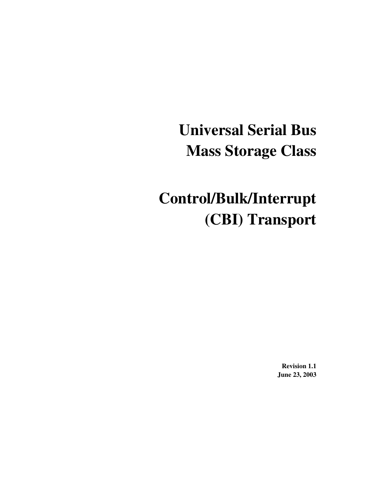# **Universal Serial Bus Mass Storage Class**

# **Control/Bulk/Interrupt (CBI) Transport**

**Revision 1.1 June 23, 2003**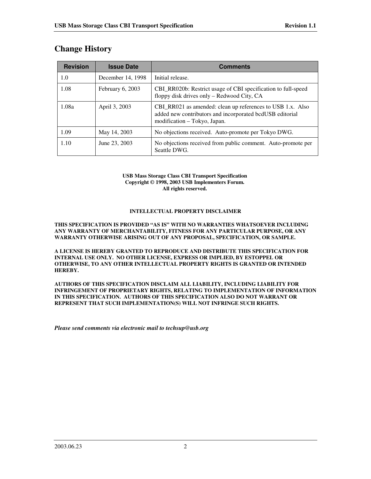| <b>Revision</b> | <b>Issue Date</b>  | <b>Comments</b>                                                                                                                                        |  |  |
|-----------------|--------------------|--------------------------------------------------------------------------------------------------------------------------------------------------------|--|--|
| 1.0             | December 14, 1998  | Initial release.                                                                                                                                       |  |  |
| 1.08            | February $6, 2003$ | CBI_RR020b: Restrict usage of CBI specification to full-speed<br>floppy disk drives only – Redwood City, CA                                            |  |  |
| 1.08a           | April 3, 2003      | CBI_RR021 as amended: clean up references to USB 1.x. Also<br>added new contributors and incorporated bcdUSB editorial<br>modification – Tokyo, Japan. |  |  |
| 1.09            | May 14, 2003       | No objections received. Auto-promote per Tokyo DWG.                                                                                                    |  |  |
| 1.10            | June 23, 2003      | No objections received from public comment. Auto-promote per<br>Seattle DWG.                                                                           |  |  |

# **Change History**

#### **USB Mass Storage Class CBI Transport Specification Copyright © 1998, 2003 USB Implementers Forum. All rights reserved.**

#### **INTELLECTUAL PROPERTY DISCLAIMER**

**THIS SPECIFICATION IS PROVIDED "AS IS" WITH NO WARRANTIES WHATSOEVER INCLUDING ANY WARRANTY OF MERCHANTABILITY, FITNESS FOR ANY PARTICULAR PURPOSE, OR ANY WARRANTY OTHERWISE ARISING OUT OF ANY PROPOSAL, SPECIFICATION, OR SAMPLE.**

**A LICENSE IS HEREBY GRANTED TO REPRODUCE AND DISTRIBUTE THIS SPECIFICATION FOR INTERNAL USE ONLY. NO OTHER LICENSE, EXPRESS OR IMPLIED, BY ESTOPPEL OR OTHERWISE, TO ANY OTHER INTELLECTUAL PROPERTY RIGHTS IS GRANTED OR INTENDED HEREBY.**

**AUTHORS OF THIS SPECIFICATION DISCLAIM ALL LIABILITY, INCLUDING LIABILITY FOR INFRINGEMENT OF PROPRIETARY RIGHTS, RELATING TO IMPLEMENTATION OF INFORMATION IN THIS SPECIFICATION. AUTHORS OF THIS SPECIFICATION ALSO DO NOT WARRANT OR REPRESENT THAT SUCH IMPLEMENTATION(S) WILL NOT INFRINGE SUCH RIGHTS.**

*Please send comments via electronic mail to techsup@usb.org*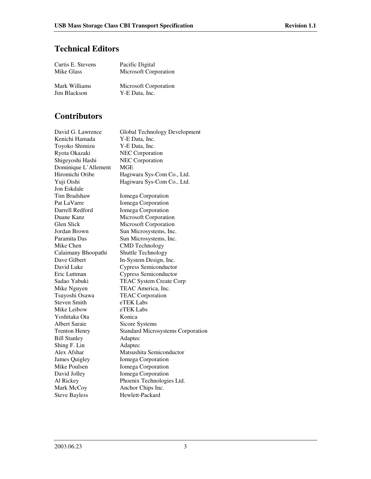# **Technical Editors**

| Curtis E. Stevens | Pacific Digital       |
|-------------------|-----------------------|
| Mike Glass        | Microsoft Corporation |
|                   |                       |
| Mark Williams     | Microsoft Corporation |
| Jim Blackson      | Y-E Data, Inc.        |

# **Contributors**

| David G. Lawrence    | <b>Global Technology Development</b>     |
|----------------------|------------------------------------------|
| Kenichi Hamada       | Y-E Data, Inc.                           |
| Toyoko Shimizu       | Y-E Data, Inc.                           |
| Ryota Okazaki        | <b>NEC</b> Corporation                   |
| Shigeyoshi Hashi     | <b>NEC</b> Corporation                   |
| Dominique L'Allement | <b>MGE</b>                               |
| Hiromichi Oribe      | Hagiwara Sys-Com Co., Ltd.               |
| Yuji Oishi           | Hagiwara Sys-Com Co., Ltd.               |
| Jon Eskdale          |                                          |
| Tim Bradshaw         | Iomega Corporation                       |
| Pat LaVarre          | Iomega Corporation                       |
| Darrell Redford      | Iomega Corporation                       |
| Duane Kanz           | Microsoft Corporation                    |
| Glen Slick           | <b>Microsoft Corporation</b>             |
| Jordan Brown         | Sun Microsystems, Inc.                   |
| Paramita Das         | Sun Microsystems, Inc.                   |
| Mike Chen            | <b>CMD</b> Technology                    |
| Calaimany Bhoopathi  | Shuttle Technology                       |
| Dave Gilbert         | In-System Design, Inc.                   |
| David Luke           | <b>Cypress Semiconductor</b>             |
| Eric Luttman         | <b>Cypress Semiconductor</b>             |
| Sadao Yabuki         | <b>TEAC System Create Corp</b>           |
| Mike Nguyen          | TEAC America, Inc.                       |
| Tsuyoshi Osawa       | <b>TEAC Corporation</b>                  |
| <b>Steven Smith</b>  | eTEK Labs                                |
| Mike Leibow          | eTEK Labs                                |
| Yoshitaka Ota        | Konica                                   |
| <b>Albert Saraie</b> | Sicore Systems                           |
| <b>Trenton Henry</b> | <b>Standard Microsystems Corporation</b> |
| <b>Bill Stanley</b>  | Adaptec                                  |
| Shing F. Lin         | Adaptec                                  |
| Alex Afshar          | Matsushita Semiconductor                 |
| James Quigley        | Iomega Corporation                       |
| Mike Poulsen         | Iomega Corporation                       |
| David Jolley         | Iomega Corporation                       |
| Al Rickey            | Phoenix Technologies Ltd.                |
| Mark McCoy           | Anchor Chips Inc.                        |
| <b>Steve Bayless</b> | Hewlett-Packard                          |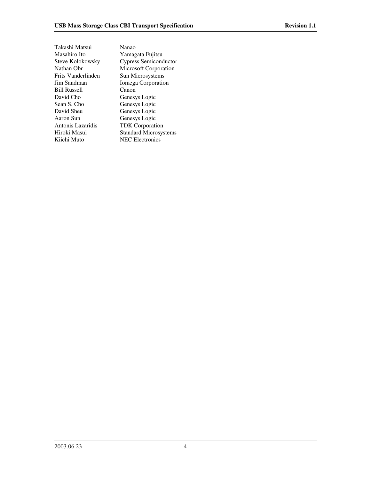| Takashi Matsui      | Nanao                        |
|---------------------|------------------------------|
| Masahiro Ito        | Yamagata Fujitsu             |
| Steve Kolokowsky    | Cypress Semiconductor        |
| Nathan Obr          | Microsoft Corporation        |
| Frits Vanderlinden  | Sun Microsystems             |
| Jim Sandman         | Iomega Corporation           |
| <b>Bill Russell</b> | Canon                        |
| David Cho           | Genesys Logic                |
| Sean S. Cho         | Genesys Logic                |
| David Sheu          | Genesys Logic                |
| Aaron Sun           | Genesys Logic                |
| Antonis Lazaridis   | <b>TDK</b> Corporation       |
| Hiroki Masui        | <b>Standard Microsystems</b> |
| Kiichi Muto         | <b>NEC</b> Electronics       |
|                     |                              |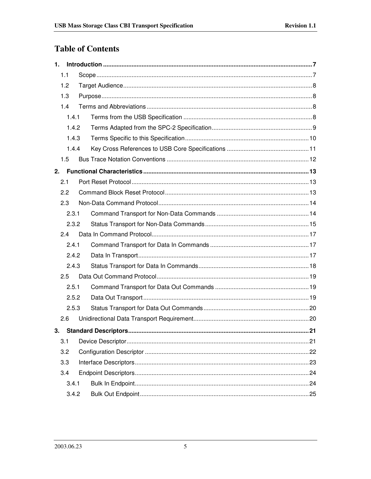# **Table of Contents**

| 1. |       |       |     |  |  |  |
|----|-------|-------|-----|--|--|--|
|    | 1.1   |       |     |  |  |  |
|    | 1.2   |       |     |  |  |  |
|    | 1.3   |       |     |  |  |  |
|    | 1.4   |       |     |  |  |  |
|    | 1.4.1 |       |     |  |  |  |
|    | 1.4.2 |       |     |  |  |  |
|    | 1.4.3 |       |     |  |  |  |
|    | 1.4.4 |       |     |  |  |  |
|    | 1.5   |       |     |  |  |  |
| 2. |       |       |     |  |  |  |
|    | 2.1   |       |     |  |  |  |
|    | 2.2   |       |     |  |  |  |
|    | 2.3   |       |     |  |  |  |
|    | 2.3.1 |       |     |  |  |  |
|    |       | 2.3.2 |     |  |  |  |
|    | 2.4   |       |     |  |  |  |
|    | 2.4.1 |       |     |  |  |  |
|    | 2.4.2 |       |     |  |  |  |
|    | 2.4.3 |       |     |  |  |  |
|    | 2.5   |       |     |  |  |  |
|    | 2.5.1 |       |     |  |  |  |
|    | 2.5.2 |       |     |  |  |  |
|    | 2.5.3 |       |     |  |  |  |
|    | 2.6   |       |     |  |  |  |
| 3. |       |       | .21 |  |  |  |
|    | 3.1   |       |     |  |  |  |
|    | 3.2   |       |     |  |  |  |
|    | 3.3   |       |     |  |  |  |
|    | 3.4   |       |     |  |  |  |
|    | 3.4.1 |       |     |  |  |  |
|    |       | 3.4.2 |     |  |  |  |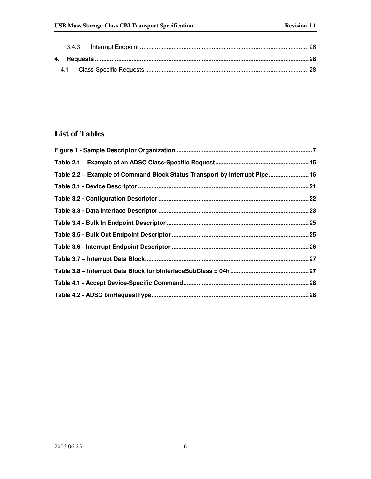# **List of Tables**

| Table 2.2 - Example of Command Block Status Transport by Interrupt Pipe 16 |  |
|----------------------------------------------------------------------------|--|
|                                                                            |  |
|                                                                            |  |
|                                                                            |  |
|                                                                            |  |
|                                                                            |  |
|                                                                            |  |
|                                                                            |  |
|                                                                            |  |
|                                                                            |  |
|                                                                            |  |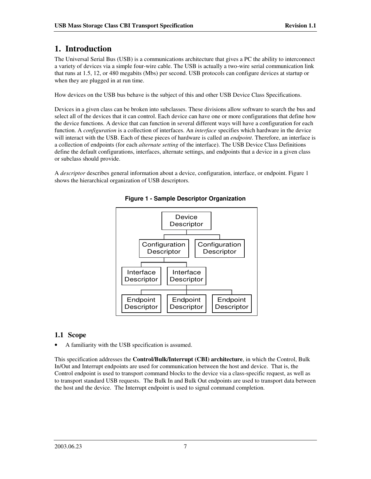# **1. Introduction**

The Universal Serial Bus (USB) is a communications architecture that gives a PC the ability to interconnect a variety of devices via a simple four-wire cable. The USB is actually a two-wire serial communication link that runs at 1.5, 12, or 480 megabits (Mbs) per second. USB protocols can configure devices at startup or when they are plugged in at run time.

How devices on the USB bus behave is the subject of this and other USB Device Class Specifications.

Devices in a given class can be broken into subclasses. These divisions allow software to search the bus and select all of the devices that it can control. Each device can have one or more configurations that define how the device functions. A device that can function in several different ways will have a configuration for each function. A *configuration* is a collection of interfaces. An *interface* specifies which hardware in the device will interact with the USB. Each of these pieces of hardware is called an *endpoint*. Therefore, an interface is a collection of endpoints (for each *alternate setting* of the interface). The USB Device Class Definitions define the default configurations, interfaces, alternate settings, and endpoints that a device in a given class or subclass should provide.

A *descriptor* describes general information about a device, configuration, interface, or endpoint. Figure 1 shows the hierarchical organization of USB descriptors.



**Figure 1 - Sample Descriptor Organization**

# **1.1 Scope**

• A familiarity with the USB specification is assumed.

This specification addresses the **Control/Bulk/Interrupt (CBI) architecture**, in which the Control, Bulk In/Out and Interrupt endpoints are used for communication between the host and device. That is, the Control endpoint is used to transport command blocks to the device via a class-specific request, as well as to transport standard USB requests. The Bulk In and Bulk Out endpoints are used to transport data between the host and the device. The Interrupt endpoint is used to signal command completion.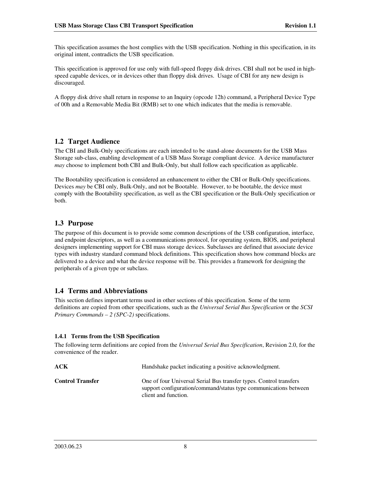This specification assumes the host complies with the USB specification. Nothing in this specification, in its original intent, contradicts the USB specification.

This specification is approved for use only with full-speed floppy disk drives. CBI shall not be used in highspeed capable devices, or in devices other than floppy disk drives. Usage of CBI for any new design is discouraged.

A floppy disk drive shall return in response to an Inquiry (opcode 12h) command, a Peripheral Device Type of 00h and a Removable Media Bit (RMB) set to one which indicates that the media is removable.

## **1.2 Target Audience**

The CBI and Bulk-Only specifications are each intended to be stand-alone documents for the USB Mass Storage sub-class, enabling development of a USB Mass Storage compliant device. A device manufacturer *may* choose to implement both CBI and Bulk-Only, but shall follow each specification as applicable.

The Bootability specification is considered an enhancement to either the CBI or Bulk-Only specifications. Devices *may* be CBI only, Bulk-Only, and not be Bootable. However, to be bootable, the device must comply with the Bootability specification, as well as the CBI specification or the Bulk-Only specification or both.

## **1.3 Purpose**

The purpose of this document is to provide some common descriptions of the USB configuration, interface, and endpoint descriptors, as well as a communications protocol, for operating system, BIOS, and peripheral designers implementing support for CBI mass storage devices. Subclasses are defined that associate device types with industry standard command block definitions. This specification shows how command blocks are delivered to a device and what the device response will be. This provides a framework for designing the peripherals of a given type or subclass.

## **1.4 Terms and Abbreviations**

This section defines important terms used in other sections of this specification. Some of the term definitions are copied from other specifications, such as the *Universal Serial Bus Specification* or the *SCSI Primary Commands – 2 (SPC-2)* specifications.

#### **1.4.1 Terms from the USB Specification**

The following term definitions are copied from the *Universal Serial Bus Specification*, Revision 2.0, for the convenience of the reader.

| ACK                     | Handshake packet indicating a positive acknowledgment.                                                                                                         |
|-------------------------|----------------------------------------------------------------------------------------------------------------------------------------------------------------|
| <b>Control Transfer</b> | One of four Universal Serial Bus transfer types. Control transfers<br>support configuration/command/status type communications between<br>client and function. |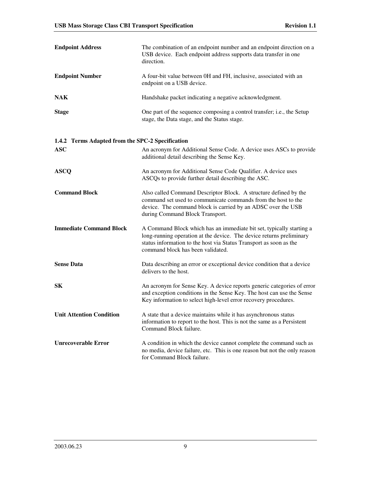| <b>Endpoint Address</b>                          | The combination of an endpoint number and an endpoint direction on a<br>USB device. Each endpoint address supports data transfer in one<br>direction.                                                                                                   |  |  |
|--------------------------------------------------|---------------------------------------------------------------------------------------------------------------------------------------------------------------------------------------------------------------------------------------------------------|--|--|
| <b>Endpoint Number</b>                           | A four-bit value between 0H and FH, inclusive, associated with an<br>endpoint on a USB device.                                                                                                                                                          |  |  |
| <b>NAK</b>                                       | Handshake packet indicating a negative acknowledgment.                                                                                                                                                                                                  |  |  |
| <b>Stage</b>                                     | One part of the sequence composing a control transfer; i.e., the Setup<br>stage, the Data stage, and the Status stage.                                                                                                                                  |  |  |
| 1.4.2 Terms Adapted from the SPC-2 Specification |                                                                                                                                                                                                                                                         |  |  |
| <b>ASC</b>                                       | An acronym for Additional Sense Code. A device uses ASCs to provide<br>additional detail describing the Sense Key.                                                                                                                                      |  |  |
| <b>ASCQ</b>                                      | An acronym for Additional Sense Code Qualifier. A device uses<br>ASCQs to provide further detail describing the ASC.                                                                                                                                    |  |  |
| <b>Command Block</b>                             | Also called Command Descriptor Block. A structure defined by the<br>command set used to communicate commands from the host to the<br>device. The command block is carried by an ADSC over the USB<br>during Command Block Transport.                    |  |  |
| <b>Immediate Command Block</b>                   | A Command Block which has an immediate bit set, typically starting a<br>long-running operation at the device. The device returns preliminary<br>status information to the host via Status Transport as soon as the<br>command block has been validated. |  |  |
| <b>Sense Data</b>                                | Data describing an error or exceptional device condition that a device<br>delivers to the host.                                                                                                                                                         |  |  |
| <b>SK</b>                                        | An acronym for Sense Key. A device reports generic categories of error<br>and exception conditions in the Sense Key. The host can use the Sense<br>Key information to select high-level error recovery procedures.                                      |  |  |
| <b>Unit Attention Condition</b>                  | A state that a device maintains while it has asynchronous status<br>information to report to the host. This is not the same as a Persistent<br>Command Block failure.                                                                                   |  |  |
| <b>Unrecoverable Error</b>                       | A condition in which the device cannot complete the command such as<br>no media, device failure, etc. This is one reason but not the only reason<br>for Command Block failure.                                                                          |  |  |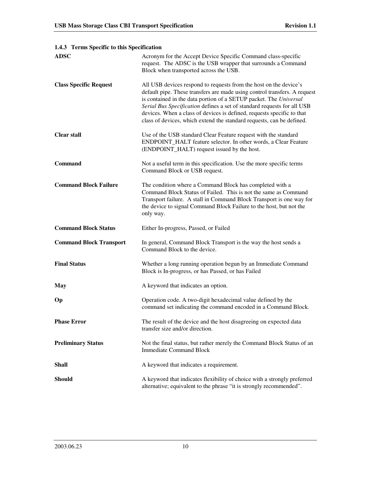| <b>ADSC</b>                    | Acronym for the Accept Device Specific Command class-specific<br>request. The ADSC is the USB wrapper that surrounds a Command<br>Block when transported across the USB.                                                                                                                                                                                                                                                                          |
|--------------------------------|---------------------------------------------------------------------------------------------------------------------------------------------------------------------------------------------------------------------------------------------------------------------------------------------------------------------------------------------------------------------------------------------------------------------------------------------------|
| <b>Class Specific Request</b>  | All USB devices respond to requests from the host on the device's<br>default pipe. These transfers are made using control transfers. A request<br>is contained in the data portion of a SETUP packet. The Universal<br>Serial Bus Specification defines a set of standard requests for all USB<br>devices. When a class of devices is defined, requests specific to that<br>class of devices, which extend the standard requests, can be defined. |
| <b>Clear stall</b>             | Use of the USB standard Clear Feature request with the standard<br>ENDPOINT_HALT feature selector. In other words, a Clear Feature<br>(ENDPOINT_HALT) request issued by the host.                                                                                                                                                                                                                                                                 |
| <b>Command</b>                 | Not a useful term in this specification. Use the more specific terms<br>Command Block or USB request.                                                                                                                                                                                                                                                                                                                                             |
| <b>Command Block Failure</b>   | The condition where a Command Block has completed with a<br>Command Block Status of Failed. This is not the same as Command<br>Transport failure. A stall in Command Block Transport is one way for<br>the device to signal Command Block Failure to the host, but not the<br>only way.                                                                                                                                                           |
| <b>Command Block Status</b>    | Either In-progress, Passed, or Failed                                                                                                                                                                                                                                                                                                                                                                                                             |
| <b>Command Block Transport</b> | In general, Command Block Transport is the way the host sends a<br>Command Block to the device.                                                                                                                                                                                                                                                                                                                                                   |
|                                |                                                                                                                                                                                                                                                                                                                                                                                                                                                   |
| <b>Final Status</b>            | Whether a long running operation begun by an Immediate Command<br>Block is In-progress, or has Passed, or has Failed                                                                                                                                                                                                                                                                                                                              |
| <b>May</b>                     | A keyword that indicates an option.                                                                                                                                                                                                                                                                                                                                                                                                               |
| Op                             | Operation code. A two-digit hexadecimal value defined by the<br>command set indicating the command encoded in a Command Block.                                                                                                                                                                                                                                                                                                                    |
| <b>Phase Error</b>             | The result of the device and the host disagreeing on expected data<br>transfer size and/or direction.                                                                                                                                                                                                                                                                                                                                             |
| <b>Preliminary Status</b>      | Not the final status, but rather merely the Command Block Status of an<br><b>Immediate Command Block</b>                                                                                                                                                                                                                                                                                                                                          |
| <b>Shall</b>                   | A keyword that indicates a requirement.                                                                                                                                                                                                                                                                                                                                                                                                           |

#### **1.4.3 Terms Specific to this Specification**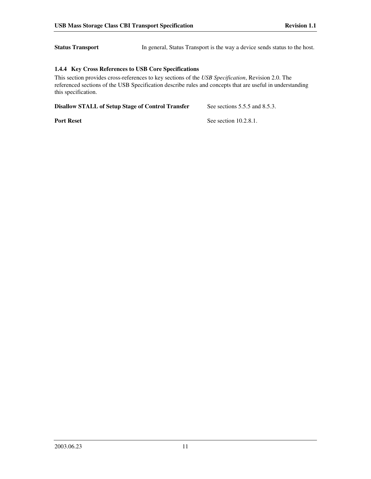**Status Transport** In general, Status Transport is the way a device sends status to the host.

#### **1.4.4 Key Cross References to USB Core Specifications**

This section provides cross-references to key sections of the *USB Specification*, Revision 2.0. The referenced sections of the USB Specification describe rules and concepts that are useful in understanding this specification.

**Disallow STALL of Setup Stage of Control Transfer** See sections 5.5.5 and 8.5.3.

**Port Reset** See section 10.2.8.1.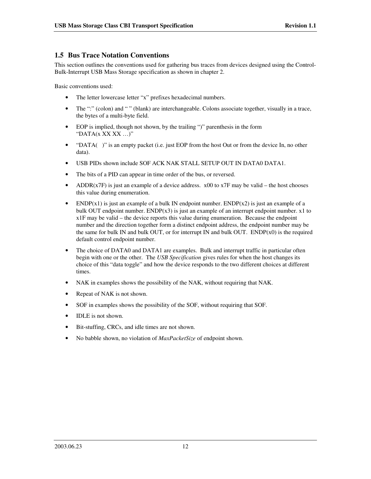## **1.5 Bus Trace Notation Conventions**

This section outlines the conventions used for gathering bus traces from devices designed using the Control-Bulk-Interrupt USB Mass Storage specification as shown in chapter 2.

Basic conventions used:

- The letter lowercase letter "x" prefixes hexadecimal numbers.
- The ":" (colon) and "" (blank) are interchangeable. Colons associate together, visually in a trace, the bytes of a multi-byte field.
- EOP is implied, though not shown, by the trailing ")" parenthesis in the form "DATA $(x$  XX XX ... $)$ "
- "DATA()" is an empty packet (i.e. just EOP from the host Out or from the device In, no other data).
- USB PIDs shown include SOF ACK NAK STALL SETUP OUT IN DATA0 DATA1.
- The bits of a PID can appear in time order of the bus, or reversed.
- ADDR( $x7F$ ) is just an example of a device address.  $x00$  to  $x7F$  may be valid the host chooses this value during enumeration.
- ENDP(x1) is just an example of a bulk IN endpoint number. ENDP(x2) is just an example of a bulk OUT endpoint number.  $ENDP(x3)$  is just an example of an interrupt endpoint number. x1 to x1F may be valid – the device reports this value during enumeration. Because the endpoint number and the direction together form a distinct endpoint address, the endpoint number may be the same for bulk IN and bulk OUT, or for interrupt IN and bulk OUT. ENDP $(x0)$  is the required default control endpoint number.
- The choice of DATA0 and DATA1 are examples. Bulk and interrupt traffic in particular often begin with one or the other. The *USB Specification* gives rules for when the host changes its choice of this "data toggle" and how the device responds to the two different choices at different times.
- NAK in examples shows the possibility of the NAK, without requiring that NAK.
- Repeat of NAK is not shown.
- SOF in examples shows the possibility of the SOF, without requiring that SOF.
- **IDLE** is not shown.
- Bit-stuffing, CRCs, and idle times are not shown.
- No babble shown, no violation of *MaxPacketSize* of endpoint shown.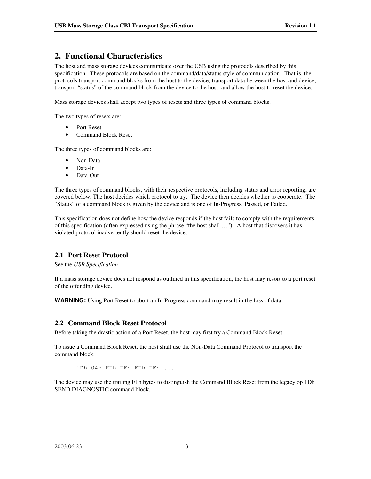# **2. Functional Characteristics**

The host and mass storage devices communicate over the USB using the protocols described by this specification. These protocols are based on the command/data/status style of communication. That is, the protocols transport command blocks from the host to the device; transport data between the host and device; transport "status" of the command block from the device to the host; and allow the host to reset the device.

Mass storage devices shall accept two types of resets and three types of command blocks.

The two types of resets are:

- Port Reset
- Command Block Reset

The three types of command blocks are:

- Non-Data
- Data-In
- Data-Out

The three types of command blocks, with their respective protocols, including status and error reporting, are covered below. The host decides which protocol to try. The device then decides whether to cooperate. The " Status" of a command block is given by the device and is one of In-Progress, Passed, or Failed.

This specification does not define how the device responds if the host fails to comply with the requirements of this specification (often expressed using the phrase " the host shall …"). A host that discovers it has violated protocol inadvertently should reset the device.

## **2.1 Port Reset Protocol**

See the *USB Specification*.

If a mass storage device does not respond as outlined in this specification, the host may resort to a port reset of the offending device.

**WARNING:** Using Port Reset to abort an In-Progress command may result in the loss of data.

## **2.2 Command Block Reset Protocol**

Before taking the drastic action of a Port Reset, the host may first try a Command Block Reset.

To issue a Command Block Reset, the host shall use the Non-Data Command Protocol to transport the command block:

1Dh 04h FFh FFh FFh FFh ...

The device may use the trailing FFh bytes to distinguish the Command Block Reset from the legacy op 1Dh SEND DIAGNOSTIC command block.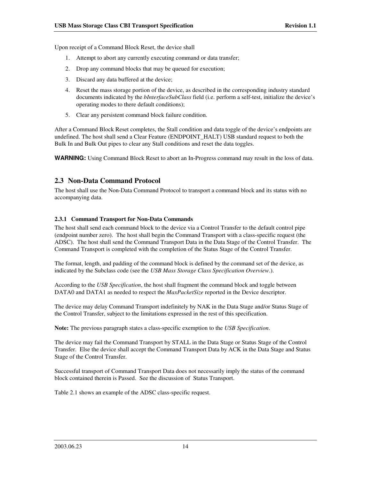Upon receipt of a Command Block Reset, the device shall

- 1. Attempt to abort any currently executing command or data transfer;
- 2. Drop any command blocks that may be queued for execution;
- 3. Discard any data buffered at the device;
- 4. Reset the mass storage portion of the device, as described in the corresponding industry standard documents indicated by the *bInterfaceSubClass* field (i.e. perform a self-test, initialize the device's operating modes to there default conditions);
- 5. Clear any persistent command block failure condition.

After a Command Block Reset completes, the Stall condition and data toggle of the device's endpoints are undefined. The host shall send a Clear Feature (ENDPOINT\_HALT) USB standard request to both the Bulk In and Bulk Out pipes to clear any Stall conditions and reset the data toggles.

**WARNING:** Using Command Block Reset to abort an In-Progress command may result in the loss of data.

## **2.3 Non-Data Command Protocol**

The host shall use the Non-Data Command Protocol to transport a command block and its status with no accompanying data.

#### **2.3.1 Command Transport for Non-Data Commands**

The host shall send each command block to the device via a Control Transfer to the default control pipe (endpoint number zero). The host shall begin the Command Transport with a class-specific request (the ADSC). The host shall send the Command Transport Data in the Data Stage of the Control Transfer. The Command Transport is completed with the completion of the Status Stage of the Control Transfer.

The format, length, and padding of the command block is defined by the command set of the device, as indicated by the Subclass code (see the *USB Mass Storage Class Specification Overview*.).

According to the *USB Specification*, the host shall fragment the command block and toggle between DATA0 and DATA1 as needed to respect the *MaxPacketSize* reported in the Device descriptor.

The device may delay Command Transport indefinitely by NAK in the Data Stage and/or Status Stage of the Control Transfer, subject to the limitations expressed in the rest of this specification.

**Note:** The previous paragraph states a class-specific exemption to the *USB Specification*.

The device may fail the Command Transport by STALL in the Data Stage or Status Stage of the Control Transfer. Else the device shall accept the Command Transport Data by ACK in the Data Stage and Status Stage of the Control Transfer.

Successful transport of Command Transport Data does not necessarily imply the status of the command block contained therein is Passed. See the discussion of Status Transport.

Table 2.1 shows an example of the ADSC class-specific request.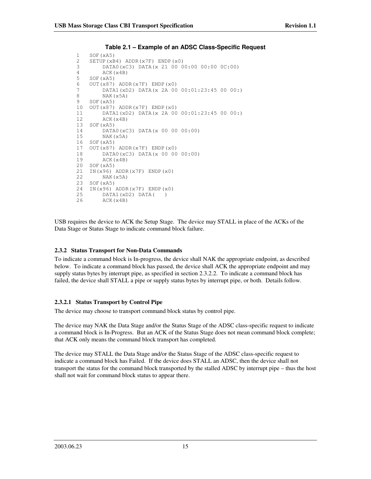```
1 SOF(xA5)<br>2 SETUP(xB
    SETUP(xB4) ADDR(x7F) ENDP(x0)
3 DATA0(xC3) DATA(x 21 00 00:00 00:00 0C:00)
4 ACK(x4B)
5 SOF(xA5)<br>6 OUT(x87)
6 OUT(x87) ADDR(x7F) ENDP(x0)<br>7 DATA1(xD2) DATA(x 2A 007 DATA1(xD2) DATA(x 2A 00 00:01:23:45 00 00:)
         NAK(x5A)
9 SOF(xA5)
10 OUT(x87) ADDR(x7F) ENDP(x0)<br>11 DATA1(xD) DATA(x 2A 0011 DATA1(xD2) DATA(x 2A 00 00:01:23:45 00 00:)<br>12 ACK(x4B)
         ACK(x4B)
13 SOF(xA5)
14 DATA0(xC3) DATA(x 00 00 00:00)
15 NAK(x5A)
16 SOF(xA5)
17 OUT(x87) ADDR(x7F) ENDP(x0)
18 DATA0(xC3) DATA(x 00 00 00:00)
19 ACK(x4B)
20 SOF(xA5)<br>21 TN(x96)
21 IN(x96) ADDR(x7F) ENDP(x0)<br>22 NAK(x5A)
         NAK(x5A)
23 SOF(xA5)<br>24 IN(x96)
    IN(x96) ADDR(x7F) ENDP(x0)
25 DATA1(xD2) DATA( )
         ACK(x4B)
```
**Table 2.1 – Example of an ADSC Class-Specific Request**

USB requires the device to ACK the Setup Stage. The device may STALL in place of the ACKs of the Data Stage or Status Stage to indicate command block failure.

#### **2.3.2 Status Transport for Non-Data Commands**

To indicate a command block is In-progress, the device shall NAK the appropriate endpoint, as described below. To indicate a command block has passed, the device shall ACK the appropriate endpoint and may supply status bytes by interrupt pipe, as specified in section 2.3.2.2. To indicate a command block has failed, the device shall STALL a pipe or supply status bytes by interrupt pipe, or both. Details follow.

#### **2.3.2.1 Status Transport by Control Pipe**

The device may choose to transport command block status by control pipe.

The device may NAK the Data Stage and/or the Status Stage of the ADSC class-specific request to indicate a command block is In-Progress. But an ACK of the Status Stage does not mean command block complete; that ACK only means the command block transport has completed.

The device may STALL the Data Stage and/or the Status Stage of the ADSC class-specific request to indicate a command block has Failed. If the device does STALL an ADSC, then the device shall not transport the status for the command block transported by the stalled ADSC by interrupt pipe – thus the host shall not wait for command block status to appear there.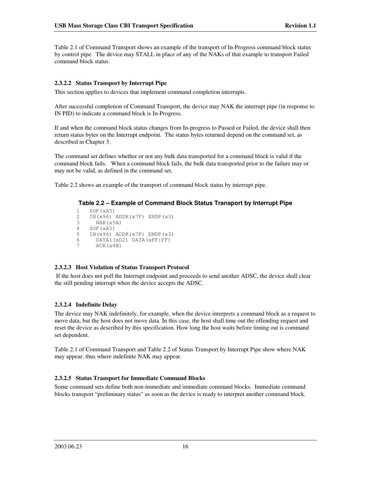Table 2.1 of Command Transport shows an example of the transport of In-Progress command block status by control pipe. The device may STALL in place of any of the NAKs of that example to transport Failed command block status.

#### **2.3.2.2 Status Transport by Interrupt Pipe**

This section applies to devices that implement command completion interrupts.

After successful completion of Command Transport, the device may NAK the interrupt pipe (in response to IN PID) to indicate a command block is In-Progress.

If and when the command block status changes from In-progress to Passed or Failed, the device shall then return status bytes on the Interrupt endpoint. The status bytes returned depend on the command set, as described in Chapter 3.

The command set defines whether or not any bulk data transported for a command block is valid if the command block fails. When a command block fails, the bulk data transported prior to the failure may or may not be valid, as defined in the command set.

Table 2.2 shows an example of the transport of command block status by interrupt pipe.

#### **Table 2.2 – Example of Command Block Status Transport by Interrupt Pipe**

```
1 SOF(xA5)<br>2 IN(x96)
2 IN(x96) ADDR(x7F) ENDP(x3)<br>3 NAK(x5A)
        NAK(x5A)
4 SOF(xA5)
5 IN(x96) ADDR(x7F) ENDP(x3)<br>6 DATA1(xD) DATA(xFF:FF)
6 DATA1(xD2) DATA(xFF:FF)<br>7 ACK(x4B)
        ACK(x4B)
```
#### **2.3.2.3 Host Violation of Status Transport Protocol**

If the host does not poll the Interrupt endpoint and proceeds to send another ADSC, the device shall clear the still pending interrupt when the device accepts the ADSC.

#### **2.3.2.4 Indefinite Delay**

The device may NAK indefinitely, for example, when the device interprets a command block as a request to move data, but the host does not move data. In this case, the host shall time out the offending request and reset the device as described by this specification. How long the host waits before timing out is command set dependent.

Table 2.1 of Command Transport and Table 2.2 of Status Transport by Interrupt Pipe show where NAK may appear, thus where indefinite NAK may appear.

#### **2.3.2.5 Status Transport for Immediate Command Blocks**

Some command sets define both non-immediate and immediate command blocks. Immediate command blocks transport " preliminary status" as soon as the device is ready to interpret another command block.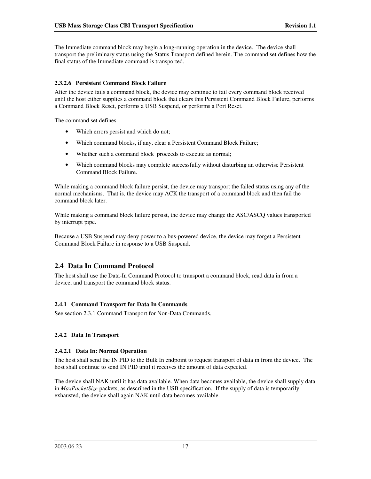The Immediate command block may begin a long-running operation in the device. The device shall transport the preliminary status using the Status Transport defined herein. The command set defines how the final status of the Immediate command is transported.

#### **2.3.2.6 Persistent Command Block Failure**

After the device fails a command block, the device may continue to fail every command block received until the host either supplies a command block that clears this Persistent Command Block Failure, performs a Command Block Reset, performs a USB Suspend, or performs a Port Reset.

The command set defines

- Which errors persist and which do not;
- Which command blocks, if any, clear a Persistent Command Block Failure;
- Whether such a command block proceeds to execute as normal;
- Which command blocks may complete successfully without disturbing an otherwise Persistent Command Block Failure.

While making a command block failure persist, the device may transport the failed status using any of the normal mechanisms. That is, the device may ACK the transport of a command block and then fail the command block later.

While making a command block failure persist, the device may change the ASC/ASCQ values transported by interrupt pipe.

Because a USB Suspend may deny power to a bus-powered device, the device may forget a Persistent Command Block Failure in response to a USB Suspend.

# **2.4 Data In Command Protocol**

The host shall use the Data-In Command Protocol to transport a command block, read data in from a device, and transport the command block status.

#### **2.4.1 Command Transport for Data In Commands**

See section 2.3.1 Command Transport for Non-Data Commands.

#### **2.4.2 Data In Transport**

#### **2.4.2.1 Data In: Normal Operation**

The host shall send the IN PID to the Bulk In endpoint to request transport of data in from the device. The host shall continue to send IN PID until it receives the amount of data expected.

The device shall NAK until it has data available. When data becomes available, the device shall supply data in *MaxPacketSize* packets, as described in the USB specification. If the supply of data is temporarily exhausted, the device shall again NAK until data becomes available.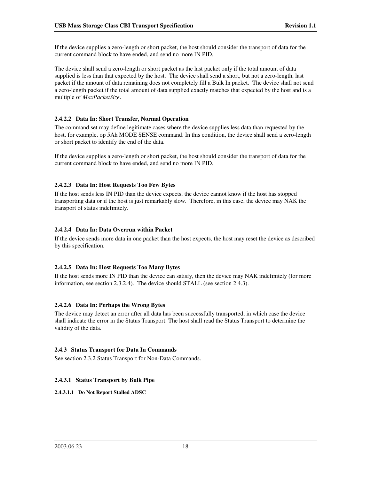If the device supplies a zero-length or short packet, the host should consider the transport of data for the current command block to have ended, and send no more IN PID.

The device shall send a zero-length or short packet as the last packet only if the total amount of data supplied is less than that expected by the host. The device shall send a short, but not a zero-length, last packet if the amount of data remaining does not completely fill a Bulk In packet. The device shall not send a zero-length packet if the total amount of data supplied exactly matches that expected by the host and is a multiple of *MaxPacketSize*.

#### **2.4.2.2 Data In: Short Transfer, Normal Operation**

The command set may define legitimate cases where the device supplies less data than requested by the host, for example, op 5Ah MODE SENSE command. In this condition, the device shall send a zero-length or short packet to identify the end of the data.

If the device supplies a zero-length or short packet, the host should consider the transport of data for the current command block to have ended, and send no more IN PID.

#### **2.4.2.3 Data In: Host Requests Too Few Bytes**

If the host sends less IN PID than the device expects, the device cannot know if the host has stopped transporting data or if the host is just remarkably slow. Therefore, in this case, the device may NAK the transport of status indefinitely.

#### **2.4.2.4 Data In: Data Overrun within Packet**

If the device sends more data in one packet than the host expects, the host may reset the device as described by this specification.

#### **2.4.2.5 Data In: Host Requests Too Many Bytes**

If the host sends more IN PID than the device can satisfy, then the device may NAK indefinitely (for more information, see section 2.3.2.4). The device should STALL (see section 2.4.3).

#### **2.4.2.6 Data In: Perhaps the Wrong Bytes**

The device may detect an error after all data has been successfully transported, in which case the device shall indicate the error in the Status Transport. The host shall read the Status Transport to determine the validity of the data.

#### **2.4.3 Status Transport for Data In Commands**

See section 2.3.2 Status Transport for Non-Data Commands.

#### **2.4.3.1 Status Transport by Bulk Pipe**

**2.4.3.1.1 Do Not Report Stalled ADSC**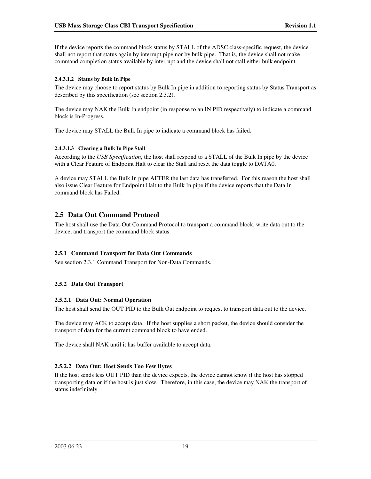If the device reports the command block status by STALL of the ADSC class-specific request, the device shall not report that status again by interrupt pipe nor by bulk pipe. That is, the device shall not make command completion status available by interrupt and the device shall not stall either bulk endpoint.

#### **2.4.3.1.2 Status by Bulk In Pipe**

The device may choose to report status by Bulk In pipe in addition to reporting status by Status Transport as described by this specification (see section 2.3.2).

The device may NAK the Bulk In endpoint (in response to an IN PID respectively) to indicate a command block is In-Progress.

The device may STALL the Bulk In pipe to indicate a command block has failed.

#### **2.4.3.1.3 Clearing a Bulk In Pipe Stall**

According to the *USB Specification*, the host shall respond to a STALL of the Bulk In pipe by the device with a Clear Feature of Endpoint Halt to clear the Stall and reset the data toggle to DATA0.

A device may STALL the Bulk In pipe AFTER the last data has transferred. For this reason the host shall also issue Clear Feature for Endpoint Halt to the Bulk In pipe if the device reports that the Data In command block has Failed.

## **2.5 Data Out Command Protocol**

The host shall use the Data-Out Command Protocol to transport a command block, write data out to the device, and transport the command block status.

#### **2.5.1 Command Transport for Data Out Commands**

See section 2.3.1 Command Transport for Non-Data Commands.

#### **2.5.2 Data Out Transport**

#### **2.5.2.1 Data Out: Normal Operation**

The host shall send the OUT PID to the Bulk Out endpoint to request to transport data out to the device.

The device may ACK to accept data. If the host supplies a short packet, the device should consider the transport of data for the current command block to have ended.

The device shall NAK until it has buffer available to accept data.

#### **2.5.2.2 Data Out: Host Sends Too Few Bytes**

If the host sends less OUT PID than the device expects, the device cannot know if the host has stopped transporting data or if the host is just slow. Therefore, in this case, the device may NAK the transport of status indefinitely.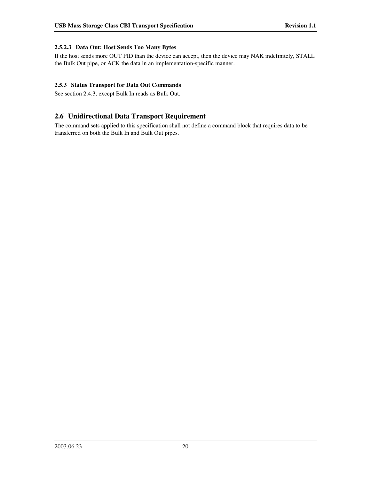#### **2.5.2.3 Data Out: Host Sends Too Many Bytes**

If the host sends more OUT PID than the device can accept, then the device may NAK indefinitely, STALL the Bulk Out pipe, or ACK the data in an implementation-specific manner.

#### **2.5.3 Status Transport for Data Out Commands**

See section 2.4.3, except Bulk In reads as Bulk Out.

## **2.6 Unidirectional Data Transport Requirement**

The command sets applied to this specification shall not define a command block that requires data to be transferred on both the Bulk In and Bulk Out pipes.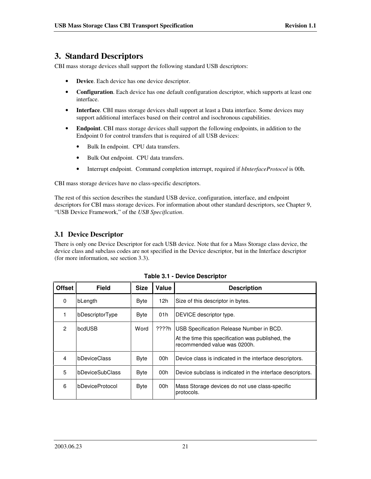# **3. Standard Descriptors**

CBI mass storage devices shall support the following standard USB descriptors:

- **Device**. Each device has one device descriptor.
- **Configuration**. Each device has one default configuration descriptor, which supports at least one interface.
- **Interface**. CBI mass storage devices shall support at least a Data interface. Some devices may support additional interfaces based on their control and isochronous capabilities.
- **Endpoint**. CBI mass storage devices shall support the following endpoints, in addition to the Endpoint 0 for control transfers that is required of all USB devices:
	- Bulk In endpoint. CPU data transfers.
	- Bulk Out endpoint. CPU data transfers.
	- Interrupt endpoint. Command completion interrupt, required if *bInterfaceProtocol* is 00h.

CBI mass storage devices have no class-specific descriptors.

The rest of this section describes the standard USB device, configuration, interface, and endpoint descriptors for CBI mass storage devices. For information about other standard descriptors, see Chapter 9, " USB Device Framework," of the *USB Specification*.

# **3.1 Device Descriptor**

There is only one Device Descriptor for each USB device. Note that for a Mass Storage class device, the device class and subclass codes are not specified in the Device descriptor, but in the Interface descriptor (for more information, see section 3.3).

| <b>Offset</b> | <b>Field</b>    | <b>Size</b> | Value | <b>Description</b>                                                                                                            |
|---------------|-----------------|-------------|-------|-------------------------------------------------------------------------------------------------------------------------------|
| 0             | bLength         | <b>Byte</b> | 12h   | Size of this descriptor in bytes.                                                                                             |
|               | bDescriptorType | <b>Byte</b> | 01h   | DEVICE descriptor type.                                                                                                       |
| $\mathcal{P}$ | bcdUSB          | Word        | ????h | USB Specification Release Number in BCD.<br>At the time this specification was published, the<br>recommended value was 0200h. |
| 4             | bDeviceClass    | <b>Byte</b> | 00h   | Device class is indicated in the interface descriptors.                                                                       |
| 5             | bDeviceSubClass | <b>Byte</b> | 00h   | Device subclass is indicated in the interface descriptors.                                                                    |
| 6             | bDeviceProtocol | <b>Byte</b> | 00h   | Mass Storage devices do not use class-specific<br>protocols.                                                                  |

**Table 3.1 - Device Descriptor**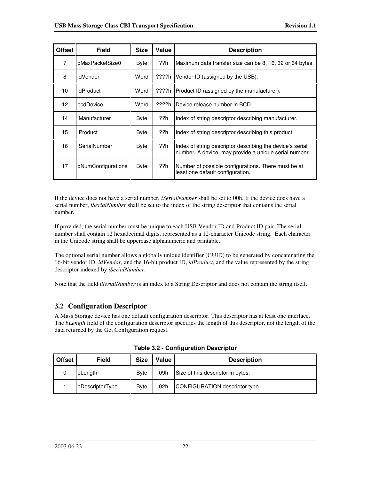| <b>Offset</b>  | <b>Field</b>       | <b>Size</b> | Value | <b>Description</b>                                                                                                |
|----------------|--------------------|-------------|-------|-------------------------------------------------------------------------------------------------------------------|
| $\overline{7}$ | bMaxPacketSize0    | <b>Byte</b> | ??h   | Maximum data transfer size can be 8, 16, 32 or 64 bytes.                                                          |
| 8              | idVendor           | Word        | ????h | Vendor ID (assigned by the USB).                                                                                  |
| 10             | idProduct          | Word        | ????h | Product ID (assigned by the manufacturer).                                                                        |
| 12             | bcdDevice          | Word        | ????h | Device release number in BCD.                                                                                     |
| 14             | iManufacturer      | <b>Byte</b> | ??h   | Index of string descriptor describing manufacturer.                                                               |
| 15             | <b>iProduct</b>    | Byte        | ??h   | Index of string descriptor describing this product.                                                               |
| 16             | iSerialNumber      | <b>Byte</b> | ??h   | Index of string descriptor describing the device's serial<br>number. A device may provide a unique serial number. |
| 17             | bNumConfigurations | <b>Byte</b> | ??h   | Number of possible configurations. There must be at<br>least one default configuration.                           |

If the device does not have a serial number, *iSerialNumber* shall be set to 00h. If the device does have a serial number, *iSerialNumber* shall be set to the index of the string descriptor that contains the serial number.

If provided, the serial number must be unique to each USB Vendor ID and Product ID pair. The serial number shall contain 12 hexadecimal digits, represented as a 12-character Unicode string. Each character in the Unicode string shall be uppercase alphanumeric and printable.

The optional serial number allows a globally unique identifier (GUID) to be generated by concatenating the 16-bit vendor ID, *idVendor,* and the 16-bit product ID, *idProduct,* and the value represented by the string descriptor indexed by *iSerialNumber*.

Note that the field *iSerialNumber* is an index to a String Descriptor and does not contain the string itself.

# **3.2 Configuration Descriptor**

A Mass Storage device has one default configuration descriptor. This descriptor has at least one interface. The *bLength* field of the configuration descriptor specifies the length of this descriptor, not the length of the data returned by the Get Configuration request.

| <b>Offset</b> | Field           | <b>Size</b> | Value | <b>Description</b>                |
|---------------|-----------------|-------------|-------|-----------------------------------|
|               | <b>bLenath</b>  | <b>Byte</b> | 09h   | Size of this descriptor in bytes. |
|               | bDescriptorType | <b>Byte</b> | 02h   | CONFIGURATION descriptor type.    |

**Table 3.2 - Configuration Descriptor**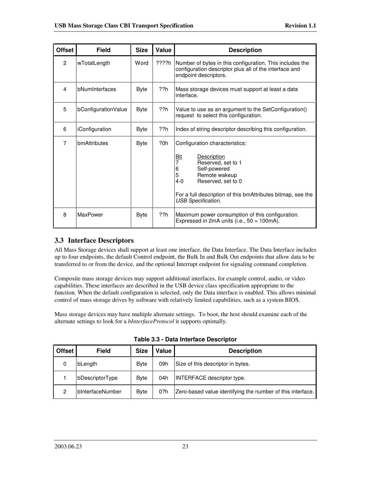| <b>Offset</b>  | <b>Field</b>        | <b>Size</b> | Value | <b>Description</b>                                                                                                                                                                                                                                                |
|----------------|---------------------|-------------|-------|-------------------------------------------------------------------------------------------------------------------------------------------------------------------------------------------------------------------------------------------------------------------|
| $\mathcal{P}$  | wTotalLength        | Word        | ????h | Number of bytes in this configuration. This includes the<br>configuration descriptor plus all of the interface and<br>endpoint descriptors.                                                                                                                       |
| 4              | bNumInterfaces      | <b>Byte</b> | ??h   | Mass storage devices must support at least a data<br>interface.                                                                                                                                                                                                   |
| 5              | bConfigurationValue | <b>Byte</b> | ??h   | Value to use as an argument to the SetConfiguration()<br>request to select this configuration.                                                                                                                                                                    |
| 6              | iConfiguration      | Byte        | ??h   | Index of string descriptor describing this configuration.                                                                                                                                                                                                         |
| $\overline{7}$ | bmAttributes        | <b>Byte</b> | ?0h   | Configuration characteristics:<br><b>Description</b><br><u>Bit</u><br>7<br>Reserved, set to 1<br>Self-powered<br>6<br>5<br>Remote wakeup<br>Reserved, set to 0<br>4-0<br>For a full description of this bmAttributes bitmap, see the<br><b>USB Specification.</b> |
| 8              | MaxPower            | <b>Byte</b> | ??h   | Maximum power consumption of this configuration.<br>Expressed in 2mA units $(i.e., 50 = 100mA)$ .                                                                                                                                                                 |

# **3.3 Interface Descriptors**

All Mass Storage devices shall support at least one interface, the Data Interface. The Data Interface includes up to four endpoints, the default Control endpoint, the Bulk In and Bulk Out endpoints that allow data to be transferred to or from the device, and the optional Interrupt endpoint for signaling command completion.

Composite mass storage devices may support additional interfaces, for example control, audio, or video capabilities. These interfaces are described in the USB device class specification appropriate to the function. When the default configuration is selected, only the Data interface is enabled. This allows minimal control of mass storage drives by software with relatively limited capabilities, such as a system BIOS.

Mass storage devices may have multiple alternate settings. To boot, the host should examine each of the alternate settings to look for a *bInterfaceProtocol* it supports optimally.

| <b>Offset</b> | <b>Field</b>     | <b>Size</b> | Value | <b>Description</b>                                         |
|---------------|------------------|-------------|-------|------------------------------------------------------------|
|               | bLength          | <b>Byte</b> | 09h   | Size of this descriptor in bytes.                          |
|               | bDescriptorType  | <b>Byte</b> | 04h   | <b>INTERFACE descriptor type.</b>                          |
| 2             | bInterfaceNumber | <b>Byte</b> | 0?h   | Zero-based value identifying the number of this interface. |

**Table 3.3 - Data Interface Descriptor**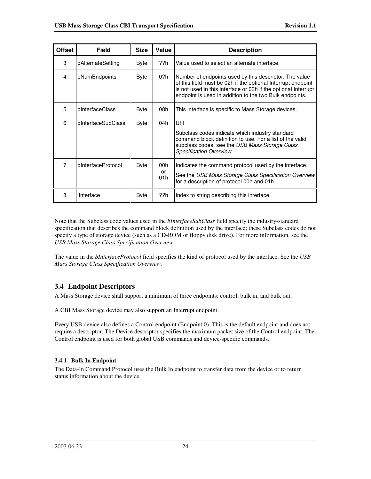| <b>Offset</b>  | <b>Field</b>       | <b>Size</b> | Value                   | <b>Description</b>                                                                                                                                                                                                                                  |
|----------------|--------------------|-------------|-------------------------|-----------------------------------------------------------------------------------------------------------------------------------------------------------------------------------------------------------------------------------------------------|
| 3              | bAlternateSetting  | <b>Byte</b> | ??h                     | Value used to select an alternate interface.                                                                                                                                                                                                        |
| 4              | bNumEndpoints      | <b>Byte</b> | 0?h                     | Number of endpoints used by this descriptor. The value<br>of this field must be 02h if the optional Interrupt endpoint<br>is not used in this interface or 03h if the optional Interrupt<br>endpoint is used in addition to the two Bulk endpoints. |
| 5              | bInterfaceClass    | <b>Byte</b> | 08h                     | This interface is specific to Mass Storage devices.                                                                                                                                                                                                 |
| 6              | bInterfaceSubClass | <b>Byte</b> | 04h                     | UFI<br>Subclass codes indicate which industry standard<br>command block definition to use. For a list of the valid<br>subclass codes, see the USB Mass Storage Class<br>Specification Overview.                                                     |
| $\overline{7}$ | bInterfaceProtocol | Byte        | 00h<br><b>or</b><br>01h | Indicates the command protocol used by the interface:<br>See the USB Mass Storage Class Specification Overview<br>for a description of protocol 00h and 01h.                                                                                        |
| 8              | ilnterface         | <b>Byte</b> | ??h                     | Index to string describing this interface.                                                                                                                                                                                                          |

Note that the Subclass code values used in the *bInterfaceSubClass* field specify the industry-standard specification that describes the command block definition used by the interface; these Subclass codes do not specify a type of storage device (such as a CD-ROM or floppy disk drive). For more information, see the *USB Mass Storage Class Specification Overview*.

The value in the *bInterfaceProtocol* field specifies the kind of protocol used by the interface. See the *USB Mass Storage Class Specification Overview*.

# **3.4 Endpoint Descriptors**

A Mass Storage device shall support a minimum of three endpoints: control, bulk in, and bulk out.

A CBI Mass Storage device may also support an Interrupt endpoint.

Every USB device also defines a Control endpoint (Endpoint 0). This is the default endpoint and does not require a descriptor. The Device descriptor specifies the maximum packet size of the Control endpoint. The Control endpoint is used for both global USB commands and device-specific commands.

#### **3.4.1 Bulk In Endpoint**

The Data-In Command Protocol uses the Bulk In endpoint to transfer data from the device or to return status information about the device.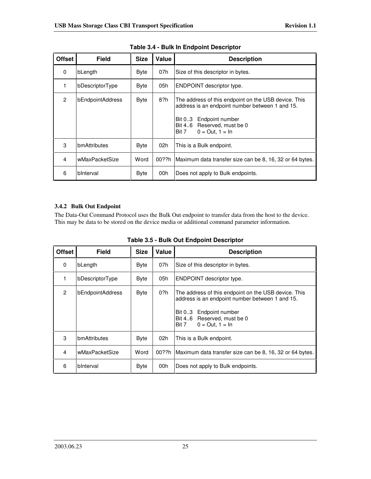| <b>Offset</b> | <b>Field</b>     | <b>Size</b> | Value | <b>Description</b>                                                                                                                                                                               |
|---------------|------------------|-------------|-------|--------------------------------------------------------------------------------------------------------------------------------------------------------------------------------------------------|
| 0             | bLength          | <b>Byte</b> | 07h   | Size of this descriptor in bytes.                                                                                                                                                                |
| 1             | bDescriptorType  | <b>Byte</b> | 05h   | ENDPOINT descriptor type.                                                                                                                                                                        |
| 2             | bEndpointAddress | Byte        | 8?h   | The address of this endpoint on the USB device. This<br>address is an endpoint number between 1 and 15.<br>Bit 03<br>Endpoint number<br>Bit 46 Reserved, must be 0<br>$0 = Out, 1 = In$<br>Bit 7 |
| 3             | bmAttributes     | <b>Byte</b> | 02h   | This is a Bulk endpoint.                                                                                                                                                                         |
| 4             | wMaxPacketSize   | Word        | 00??h | Maximum data transfer size can be 8, 16, 32 or 64 bytes.                                                                                                                                         |
| 6             | binterval        | <b>Byte</b> | 00h   | Does not apply to Bulk endpoints.                                                                                                                                                                |

**Table 3.4 - Bulk In Endpoint Descriptor**

## **3.4.2 Bulk Out Endpoint**

The Data-Out Command Protocol uses the Bulk Out endpoint to transfer data from the host to the device. This may be data to be stored on the device media or additional command parameter information.

| <b>Offset</b>  | <b>Field</b>     | <b>Size</b> | Value | <b>Description</b>                                                                                                                                                                            |
|----------------|------------------|-------------|-------|-----------------------------------------------------------------------------------------------------------------------------------------------------------------------------------------------|
| 0              | bLength          | <b>Byte</b> | 07h   | Size of this descriptor in bytes.                                                                                                                                                             |
| 1              | bDescriptorType  | <b>Byte</b> | 05h   | ENDPOINT descriptor type.                                                                                                                                                                     |
| $\mathcal{P}$  | bEndpointAddress | <b>Byte</b> | 0?h   | The address of this endpoint on the USB device. This<br>address is an endpoint number between 1 and 15.<br>Bit 03 Endpoint number<br>Bit 46 Reserved, must be 0<br>$0 = Out, 1 = In$<br>Bit 7 |
| 3              | bmAttributes     | <b>Byte</b> | 02h   | This is a Bulk endpoint.                                                                                                                                                                      |
| $\overline{4}$ | wMaxPacketSize   | Word        | 00??h | Maximum data transfer size can be 8, 16, 32 or 64 bytes.                                                                                                                                      |
| 6              | binterval        | <b>Byte</b> | 00h   | Does not apply to Bulk endpoints.                                                                                                                                                             |

**Table 3.5 - Bulk Out Endpoint Descriptor**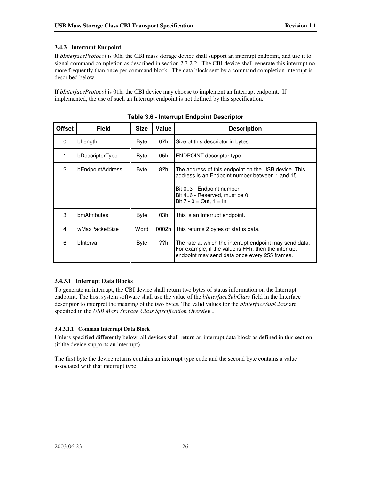#### **3.4.3 Interrupt Endpoint**

If *bInterfaceProtocol* is 00h, the CBI mass storage device shall support an interrupt endpoint, and use it to signal command completion as described in section 2.3.2.2. The CBI device shall generate this interrupt no more frequently than once per command block. The data block sent by a command completion interrupt is described below.

If *bInterfaceProtocol* is 01h, the CBI device may choose to implement an Interrupt endpoint. If implemented, the use of such an Interrupt endpoint is not defined by this specification.

| <b>Offset</b> | <b>Field</b>     | <b>Size</b> | Value | <b>Description</b>                                                                                                                                                                               |
|---------------|------------------|-------------|-------|--------------------------------------------------------------------------------------------------------------------------------------------------------------------------------------------------|
| $\Omega$      | bLength          | Byte        | 07h   | Size of this descriptor in bytes.                                                                                                                                                                |
| 1             | bDescriptorType  | <b>Byte</b> | 05h   | ENDPOINT descriptor type.                                                                                                                                                                        |
| $\mathcal{P}$ | bEndpointAddress | Byte        | 8?h   | The address of this endpoint on the USB device. This<br>address is an Endpoint number between 1 and 15.<br>Bit 03 - Endpoint number<br>Bit 46 - Reserved, must be 0<br>Bit $7 - 0 = Out, 1 = In$ |
| 3             | bmAttributes     | <b>Byte</b> | 03h   | This is an Interrupt endpoint.                                                                                                                                                                   |
| 4             | wMaxPacketSize   | Word        | 0002h | This returns 2 bytes of status data.                                                                                                                                                             |
| 6             | binterval        | Byte        | ??h   | The rate at which the interrupt endpoint may send data.<br>For example, if the value is FFh, then the interrupt<br>endpoint may send data once every 255 frames.                                 |

**Table 3.6 - Interrupt Endpoint Descriptor**

#### **3.4.3.1 Interrupt Data Blocks**

To generate an interrupt, the CBI device shall return two bytes of status information on the Interrupt endpoint. The host system software shall use the value of the *bInterfaceSubClass* field in the Interface descriptor to interpret the meaning of the two bytes. The valid values for the *bInterfaceSubClass* are specified in the *USB Mass Storage Class Specification Overview*..

#### **3.4.3.1.1 Common Interrupt Data Block**

Unless specified differently below, all devices shall return an interrupt data block as defined in this section (if the device supports an interrupt).

The first byte the device returns contains an interrupt type code and the second byte contains a value associated with that interrupt type.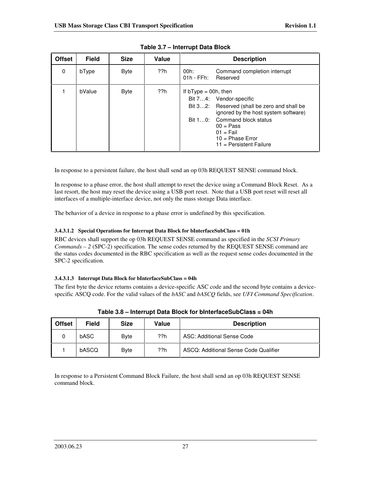| <b>Offset</b> | <b>Field</b> | <b>Size</b> | Value | <b>Description</b>                                                                                                                                                                                                                                          |
|---------------|--------------|-------------|-------|-------------------------------------------------------------------------------------------------------------------------------------------------------------------------------------------------------------------------------------------------------------|
| $\Omega$      | bType        | Byte        | ??h   | Command completion interrupt<br>00h:<br>$01h$ - FFh:<br>Reserved                                                                                                                                                                                            |
|               | bValue       | Byte        | ??h   | If $bType = 00h$ , then<br>Bit 74: Vendor-specific<br>Bit 32: Reserved (shall be zero and shall be<br>ignored by the host system software)<br>Bit 10: Command block status<br>$00 = Pass$<br>$01 =$ Fail<br>$10 = Phase Error$<br>$11 =$ Persistent Failure |

**Table 3.7 – Interrupt Data Block**

In response to a persistent failure, the host shall send an op 03h REQUEST SENSE command block.

In response to a phase error, the host shall attempt to reset the device using a Command Block Reset. As a last resort, the host may reset the device using a USB port reset. Note that a USB port reset will reset all interfaces of a multiple-interface device, not only the mass storage Data interface.

The behavior of a device in response to a phase error is undefined by this specification.

#### **3.4.3.1.2 Special Operations for Interrupt Data Block for bInterfaceSubClass = 01h**

RBC devices shall support the op 03h REQUEST SENSE command as specified in the *SCSI Primary Commands – 2* (SPC-2) specification. The sense codes returned by the REQUEST SENSE command are the status codes documented in the RBC specification as well as the request sense codes documented in the SPC-2 specification.

#### **3.4.3.1.3 Interrupt Data Block for bInterfaceSubClass = 04h**

The first byte the device returns contains a device-specific ASC code and the second byte contains a devicespecific ASCQ code. For the valid values of the *bASC* and *bASCQ* fields, see *UFI Command Specification*.

| <b>Offset</b> | <b>Field</b> | <b>Size</b> | Value | <b>Description</b>                    |
|---------------|--------------|-------------|-------|---------------------------------------|
|               | bASC         | <b>Byte</b> | ??h   | ASC: Additional Sense Code            |
|               | bASCQ        | <b>Byte</b> | ??h   | ASCQ: Additional Sense Code Qualifier |

**Table 3.8 – Interrupt Data Block for bInterfaceSubClass = 04h**

In response to a Persistent Command Block Failure, the host shall send an op 03h REQUEST SENSE command block.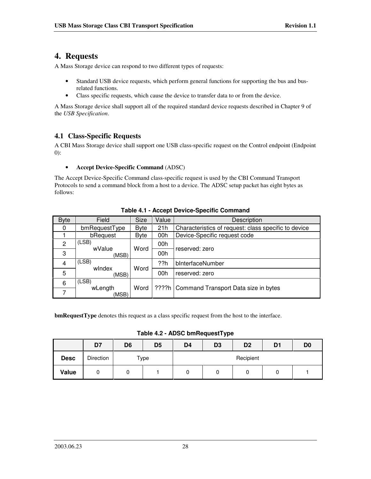# **4. Requests**

A Mass Storage device can respond to two different types of requests:

- Standard USB device requests, which perform general functions for supporting the bus and busrelated functions.
- Class specific requests, which cause the device to transfer data to or from the device.

A Mass Storage device shall support all of the required standard device requests described in Chapter 9 of the *USB Specification*.

# **4.1 Class-Specific Requests**

A CBI Mass Storage device shall support one USB class-specific request on the Control endpoint (Endpoint 0):

#### • **Accept Device-Specific Command** (ADSC)

The Accept Device-Specific Command class-specific request is used by the CBI Command Transport Protocols to send a command block from a host to a device. The ADSC setup packet has eight bytes as follows:

| <b>Byte</b> | Field                    | <b>Size</b> | Value | Description                                          |  |
|-------------|--------------------------|-------------|-------|------------------------------------------------------|--|
| 0           | bmRequestType            | Byte        | 21h   | Characteristics of request: class specific to device |  |
|             | bRequest                 | Byte        | 00h   | Device-Specific request code                         |  |
| 2           | (LSB)                    |             | 00h   |                                                      |  |
| 3           | wValue<br>(MSB)          | Word        | 00h   | reserved: zero                                       |  |
| 4           | (LSB)                    |             | ??h   | bInterfaceNumber                                     |  |
| 5           | windex<br>(MSB)          | Word        |       | reserved: zero                                       |  |
| 6           | (LSB)                    |             |       |                                                      |  |
| 7           | Word<br>wLength<br>(MSB) |             |       | ????h   Command Transport Data size in bytes         |  |

## **Table 4.1 - Accept Device-Specific Command**

**bmRequestType** denotes this request as a class specific request from the host to the interface.

**Table 4.2 - ADSC bmRequestType**

|             | D7        | D <sub>6</sub> | D <sub>5</sub> | D <sub>4</sub> | D <sub>3</sub> | D <sub>2</sub> | D <sub>1</sub> | D <sub>0</sub> |  |
|-------------|-----------|----------------|----------------|----------------|----------------|----------------|----------------|----------------|--|
| <b>Desc</b> | Direction | Type           |                | Recipient      |                |                |                |                |  |
| Value       | U         | ັບ             |                |                | 0              | U              | 0              |                |  |